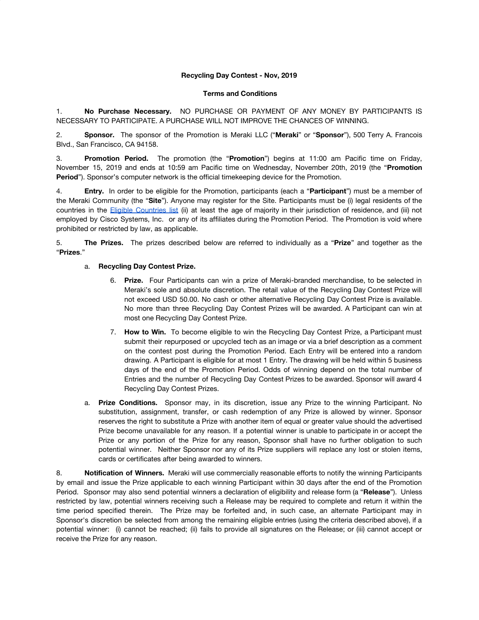## **Recycling Day Contest - Nov, 2019**

## **Terms and Conditions**

1. **No Purchase Necessary.** NO PURCHASE OR PAYMENT OF ANY MONEY BY PARTICIPANTS IS NECESSARY TO PARTICIPATE. A PURCHASE WILL NOT IMPROVE THE CHANCES OF WINNING.

2. **Sponsor.** The sponsor of the Promotion is Meraki LLC ("**Meraki**" or "**Sponsor**"), 500 Terry A. Francois Blvd., San Francisco, CA 94158.

3. **Promotion Period.** The promotion (the "**Promotion**") begins at 11:00 am Pacific time on Friday, November 15, 2019 and ends at 10:59 am Pacific time on Wednesday, November 20th, 2019 (the "**Promotion Period**"). Sponsor's computer network is the official timekeeping device for the Promotion.

4. **Entry.** In order to be eligible for the Promotion, participants (each a "**Participant**") must be a member of the Meraki Community (the "**Site**"). Anyone may register for the Site. Participants must be (i) legal residents of the countries in the Eligible [Countries](https://community.meraki.com/t5/Terms-Conditions/Eligible-Countries-List/ba-p/5069/jump-to/first-unread-message) list (ii) at least the age of majority in their jurisdiction of residence, and (iii) not employed by Cisco Systems, Inc. or any of its affiliates during the Promotion Period. The Promotion is void where prohibited or restricted by law, as applicable.

5. **The Prizes.** The prizes described below are referred to individually as a "**Prize**" and together as the "**Prizes**."

## a. **Recycling Day Contest Prize.**

- 6. **Prize.** Four Participants can win a prize of Meraki-branded merchandise, to be selected in Meraki's sole and absolute discretion. The retail value of the Recycling Day Contest Prize will not exceed USD 50.00. No cash or other alternative Recycling Day Contest Prize is available. No more than three Recycling Day Contest Prizes will be awarded. A Participant can win at most one Recycling Day Contest Prize.
- 7. **How to Win.** To become eligible to win the Recycling Day Contest Prize, a Participant must submit their repurposed or upcycled tech as an image or via a brief description as a comment on the contest post during the Promotion Period. Each Entry will be entered into a random drawing. A Participant is eligible for at most 1 Entry. The drawing will be held within 5 business days of the end of the Promotion Period. Odds of winning depend on the total number of Entries and the number of Recycling Day Contest Prizes to be awarded. Sponsor will award 4 Recycling Day Contest Prizes.
- a. **Prize Conditions.** Sponsor may, in its discretion, issue any Prize to the winning Participant. No substitution, assignment, transfer, or cash redemption of any Prize is allowed by winner. Sponsor reserves the right to substitute a Prize with another item of equal or greater value should the advertised Prize become unavailable for any reason. If a potential winner is unable to participate in or accept the Prize or any portion of the Prize for any reason, Sponsor shall have no further obligation to such potential winner. Neither Sponsor nor any of its Prize suppliers will replace any lost or stolen items, cards or certificates after being awarded to winners.

8. **Notification of Winners.** Meraki will use commercially reasonable efforts to notify the winning Participants by email and issue the Prize applicable to each winning Participant within 30 days after the end of the Promotion Period. Sponsor may also send potential winners a declaration of eligibility and release form (a "**Release**"). Unless restricted by law, potential winners receiving such a Release may be required to complete and return it within the time period specified therein. The Prize may be forfeited and, in such case, an alternate Participant may in Sponsor's discretion be selected from among the remaining eligible entries (using the criteria described above), if a potential winner: (i) cannot be reached; (ii) fails to provide all signatures on the Release; or (iii) cannot accept or receive the Prize for any reason.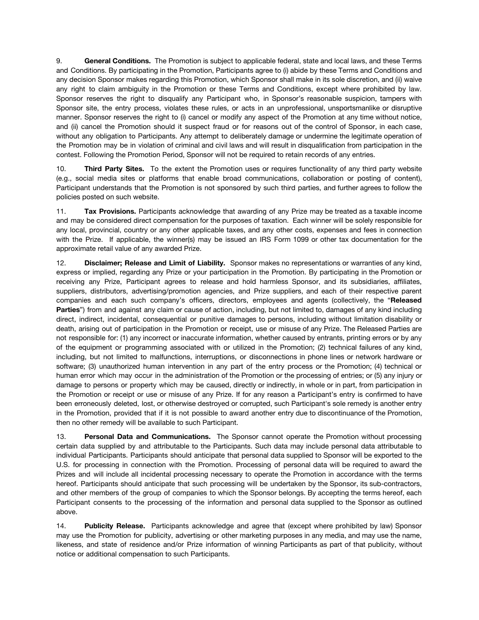9. **General Conditions.** The Promotion is subject to applicable federal, state and local laws, and these Terms and Conditions. By participating in the Promotion, Participants agree to (i) abide by these Terms and Conditions and any decision Sponsor makes regarding this Promotion, which Sponsor shall make in its sole discretion, and (ii) waive any right to claim ambiguity in the Promotion or these Terms and Conditions, except where prohibited by law. Sponsor reserves the right to disqualify any Participant who, in Sponsor's reasonable suspicion, tampers with Sponsor site, the entry process, violates these rules, or acts in an unprofessional, unsportsmanlike or disruptive manner. Sponsor reserves the right to (i) cancel or modify any aspect of the Promotion at any time without notice, and (ii) cancel the Promotion should it suspect fraud or for reasons out of the control of Sponsor, in each case, without any obligation to Participants. Any attempt to deliberately damage or undermine the legitimate operation of the Promotion may be in violation of criminal and civil laws and will result in disqualification from participation in the contest. Following the Promotion Period, Sponsor will not be required to retain records of any entries.

10. **Third Party Sites.** To the extent the Promotion uses or requires functionality of any third party website (e.g., social media sites or platforms that enable broad communications, collaboration or posting of content), Participant understands that the Promotion is not sponsored by such third parties, and further agrees to follow the policies posted on such website.

11. **Tax Provisions.** Participants acknowledge that awarding of any Prize may be treated as a taxable income and may be considered direct compensation for the purposes of taxation. Each winner will be solely responsible for any local, provincial, country or any other applicable taxes, and any other costs, expenses and fees in connection with the Prize. If applicable, the winner(s) may be issued an IRS Form 1099 or other tax documentation for the approximate retail value of any awarded Prize.

12. **Disclaimer; Release and Limit of Liability.** Sponsor makes no representations or warranties of any kind, express or implied, regarding any Prize or your participation in the Promotion. By participating in the Promotion or receiving any Prize, Participant agrees to release and hold harmless Sponsor, and its subsidiaries, affiliates, suppliers, distributors, advertising/promotion agencies, and Prize suppliers, and each of their respective parent companies and each such company's officers, directors, employees and agents (collectively, the "**Released Parties**") from and against any claim or cause of action, including, but not limited to, damages of any kind including direct, indirect, incidental, consequential or punitive damages to persons, including without limitation disability or death, arising out of participation in the Promotion or receipt, use or misuse of any Prize. The Released Parties are not responsible for: (1) any incorrect or inaccurate information, whether caused by entrants, printing errors or by any of the equipment or programming associated with or utilized in the Promotion; (2) technical failures of any kind, including, but not limited to malfunctions, interruptions, or disconnections in phone lines or network hardware or software; (3) unauthorized human intervention in any part of the entry process or the Promotion; (4) technical or human error which may occur in the administration of the Promotion or the processing of entries; or (5) any injury or damage to persons or property which may be caused, directly or indirectly, in whole or in part, from participation in the Promotion or receipt or use or misuse of any Prize. If for any reason a Participant's entry is confirmed to have been erroneously deleted, lost, or otherwise destroyed or corrupted, such Participant's sole remedy is another entry in the Promotion, provided that if it is not possible to award another entry due to discontinuance of the Promotion, then no other remedy will be available to such Participant.

13. **Personal Data and Communications.** The Sponsor cannot operate the Promotion without processing certain data supplied by and attributable to the Participants. Such data may include personal data attributable to individual Participants. Participants should anticipate that personal data supplied to Sponsor will be exported to the U.S. for processing in connection with the Promotion. Processing of personal data will be required to award the Prizes and will include all incidental processing necessary to operate the Promotion in accordance with the terms hereof. Participants should anticipate that such processing will be undertaken by the Sponsor, its sub-contractors, and other members of the group of companies to which the Sponsor belongs. By accepting the terms hereof, each Participant consents to the processing of the information and personal data supplied to the Sponsor as outlined above.

14. **Publicity Release.** Participants acknowledge and agree that (except where prohibited by law) Sponsor may use the Promotion for publicity, advertising or other marketing purposes in any media, and may use the name, likeness, and state of residence and/or Prize information of winning Participants as part of that publicity, without notice or additional compensation to such Participants.